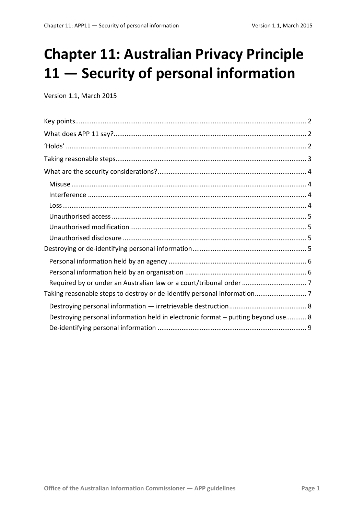# **Chapter 11: Australian Privacy Principle 11 — Security of personal information**

Version 1.1, March 2015

| Destroying personal information held in electronic format - putting beyond use 8 |
|----------------------------------------------------------------------------------|
|                                                                                  |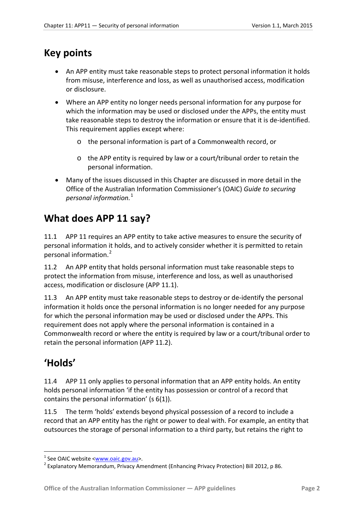### <span id="page-1-0"></span>**Key points**

- An APP entity must take reasonable steps to protect personal information it holds from misuse, interference and loss, as well as unauthorised access, modification or disclosure.
- Where an APP entity no longer needs personal information for any purpose for which the information may be used or disclosed under the APPs, the entity must take reasonable steps to destroy the information or ensure that it is de-identified. This requirement applies except where:
	- o the personal information is part of a Commonwealth record, or
	- o the APP entity is required by law or a court/tribunal order to retain the personal information.
- Many of the issues discussed in this Chapter are discussed in more detail in the Office of the Australian Information Commissioner's (OAIC) *Guide to securing personal information.*[1](#page-1-3)

# <span id="page-1-1"></span>**What does APP 11 say?**

11.1 APP 11 requires an APP entity to take active measures to ensure the security of personal information it holds, and to actively consider whether it is permitted to retain personal information.[2](#page-1-4)

11.2 An APP entity that holds personal information must take reasonable steps to protect the information from misuse, interference and loss, as well as unauthorised access, modification or disclosure (APP 11.1).

11.3 An APP entity must take reasonable steps to destroy or de-identify the personal information it holds once the personal information is no longer needed for any purpose for which the personal information may be used or disclosed under the APPs. This requirement does not apply where the personal information is contained in a Commonwealth record or where the entity is required by law or a court/tribunal order to retain the personal information (APP 11.2).

# <span id="page-1-2"></span>**'Holds'**

1

<span id="page-1-5"></span>11.4 APP 11 only applies to personal information that an APP entity holds. An entity holds personal information 'if the entity has possession or control of a record that contains the personal information' (s 6(1)).

11.5 The term 'holds' extends beyond physical possession of a record to include a record that an APP entity has the right or power to deal with. For example, an entity that outsources the storage of personal information to a third party, but retains the right to

<span id="page-1-4"></span><span id="page-1-3"></span><sup>&</sup>lt;sup>1</sup> See OAIC website <<u>www.oaic.gov.au</u>>.<br><sup>2</sup> Explanatory Memorandum, Privacy Amendment (Enhancing Privacy Protection) Bill 2012, p 86.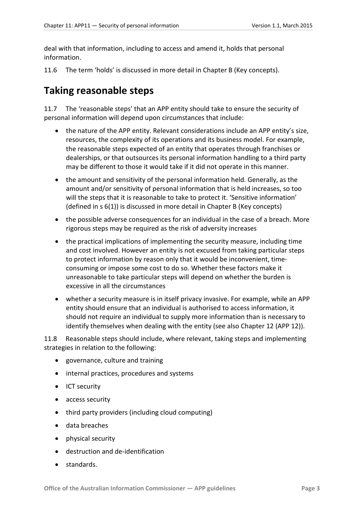deal with that information, including to access and amend it, holds that personal information.

<span id="page-2-1"></span>11.6 The term 'holds' is discussed in more detail in Chapter B (Key concepts).

### <span id="page-2-0"></span>**Taking reasonable steps**

11.7 The 'reasonable steps' that an APP entity should take to ensure the security of personal information will depend upon circumstances that include:

- the nature of the APP entity. Relevant considerations include an APP entity's size, resources, the complexity of its operations and its business model. For example, the reasonable steps expected of an entity that operates through franchises or dealerships, or that outsources its personal information handling to a third party may be different to those it would take if it did not operate in this manner.
- the amount and sensitivity of the personal information held. Generally, as the amount and/or sensitivity of personal information that is held increases, so too will the steps that it is reasonable to take to protect it. 'Sensitive information' (defined in s 6(1)) is discussed in more detail in Chapter B (Key concepts)
- the possible adverse consequences for an individual in the case of a breach. More rigorous steps may be required as the risk of adversity increases
- the practical implications of implementing the security measure, including time and cost involved. However an entity is not excused from taking particular steps to protect information by reason only that it would be inconvenient, timeconsuming or impose some cost to do so. Whether these factors make it unreasonable to take particular steps will depend on whether the burden is excessive in all the circumstances
- whether a security measure is in itself privacy invasive. For example, while an APP entity should ensure that an individual is authorised to access information, it should not require an individual to supply more information than is necessary to identify themselves when dealing with the entity (see also Chapter 12 (APP 12)).

11.8 Reasonable steps should include, where relevant, taking steps and implementing strategies in relation to the following:

- governance, culture and training
- internal practices, procedures and systems
- ICT security
- access security
- third party providers (including cloud computing)
- data breaches
- physical security
- destruction and de-identification
- standards.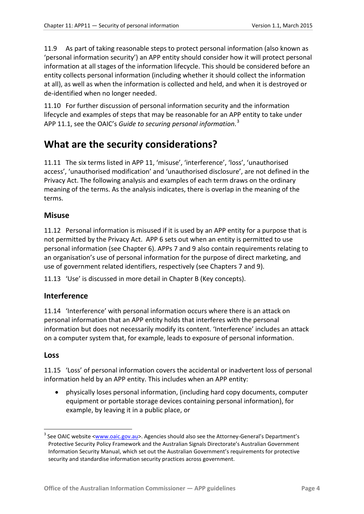11.9 As part of taking reasonable steps to protect personal information (also known as 'personal information security') an APP entity should consider how it will protect personal information at all stages of the information lifecycle. This should be considered before an entity collects personal information (including whether it should collect the information at all), as well as when the information is collected and held, and when it is destroyed or de-identified when no longer needed.

11.10 For further discussion of personal information security and the information lifecycle and examples of steps that may be reasonable for an APP entity to take under APP 11.1, see the OAIC's *Guide to securing personal information*. [3](#page-3-4)

### <span id="page-3-0"></span>**What are the security considerations?**

11.11 The six terms listed in APP 11, 'misuse', 'interference', 'loss', 'unauthorised access', 'unauthorised modification' and 'unauthorised disclosure', are not defined in the Privacy Act. The following analysis and examples of each term draws on the ordinary meaning of the terms. As the analysis indicates, there is overlap in the meaning of the terms.

#### <span id="page-3-1"></span>**Misuse**

11.12 Personal information is misused if it is used by an APP entity for a purpose that is not permitted by the Privacy Act. APP 6 sets out when an entity is permitted to use personal information (see Chapter 6). APPs 7 and 9 also contain requirements relating to an organisation's use of personal information for the purpose of direct marketing, and use of government related identifiers, respectively (see Chapters 7 and 9).

11.13 'Use' is discussed in more detail in Chapter B (Key concepts).

#### <span id="page-3-2"></span>**Interference**

11.14 'Interference' with personal information occurs where there is an attack on personal information that an APP entity holds that interferes with the personal information but does not necessarily modify its content. 'Interference' includes an attack on a computer system that, for example, leads to exposure of personal information.

#### <span id="page-3-3"></span>**Loss**

-

11.15 'Loss' of personal information covers the accidental or inadvertent loss of personal information held by an APP entity. This includes when an APP entity:

• physically loses personal information, (including hard copy documents, computer equipment or portable storage devices containing personal information), for example, by leaving it in a public place, or

<span id="page-3-4"></span><sup>&</sup>lt;sup>3</sup> See OAIC website [<www.oaic.gov.au>](http://www.oaic.gov.au/). Agencies should also see the Attorney-General's Department's [Protective Security Policy Framework](http://www.protectivesecurity.gov.au/pspf/Pages/default.aspx) and the Australian Signals Directorate'[s Australian Government](http://www.asd.gov.au/infosec/ism/index.htm)  [Information Security Manual,](http://www.asd.gov.au/infosec/ism/index.htm) which set out the Australian Government's requirements for protective security and standardise information security practices across government.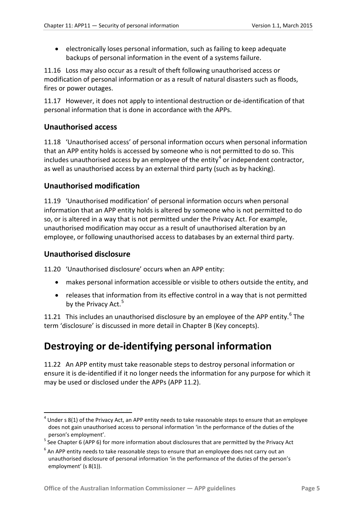• electronically loses personal information, such as failing to keep adequate backups of personal information in the event of a systems failure.

11.16 Loss may also occur as a result of theft following unauthorised access or modification of personal information or as a result of natural disasters such as floods, fires or power outages.

11.17 However, it does not apply to intentional destruction or de-identification of that personal information that is done in accordance with the APPs.

#### <span id="page-4-0"></span>**Unauthorised access**

11.18 'Unauthorised access' of personal information occurs when personal information that an APP entity holds is accessed by someone who is not permitted to do so. This includes unauthorised access by an employee of the entity<sup>[4](#page-4-4)</sup> or independent contractor, as well as unauthorised access by an external third party (such as by hacking).

#### <span id="page-4-1"></span>**Unauthorised modification**

11.19 'Unauthorised modification' of personal information occurs when personal information that an APP entity holds is altered by someone who is not permitted to do so, or is altered in a way that is not permitted under the Privacy Act. For example, unauthorised modification may occur as a result of unauthorised alteration by an employee, or following unauthorised access to databases by an external third party.

#### <span id="page-4-2"></span>**Unauthorised disclosure**

-

11.20 'Unauthorised disclosure' occurs when an APP entity:

- makes personal information accessible or visible to others outside the entity, and
- releases that information from its effective control in a way that is not permitted by the Privacy Act.<sup>[5](#page-4-5)</sup>

11.21 This includes an unauthorised disclosure by an employee of the APP entity.<sup>[6](#page-4-6)</sup> The term 'disclosure' is discussed in more detail in Chapter B (Key concepts).

## <span id="page-4-3"></span>**Destroying or de-identifying personal information**

11.22 An APP entity must take reasonable steps to destroy personal information or ensure it is de-identified if it no longer needs the information for any purpose for which it may be used or disclosed under the APPs (APP 11.2).

<span id="page-4-4"></span> $4$  Under s 8(1) of the Privacy Act, an APP entity needs to take reasonable steps to ensure that an employee does not gain unauthorised access to personal information 'in the performance of the duties of the

<span id="page-4-5"></span>person's employment'.<br><sup>5</sup> See Chapter 6 (APP 6) for more information about disclosures that are permitted by the Privacy Act

<span id="page-4-6"></span> $6$  An APP entity needs to take reasonable steps to ensure that an employee does not carry out an unauthorised disclosure of personal information 'in the performance of the duties of the person's employment' (s 8(1)).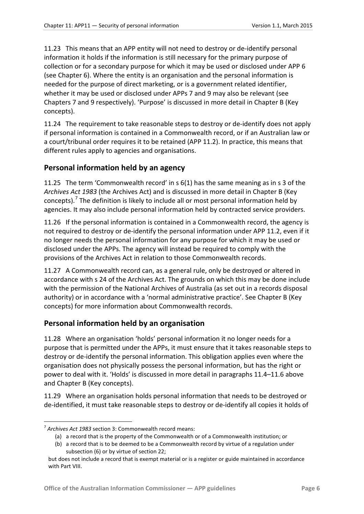11.23 This means that an APP entity will not need to destroy or de-identify personal information it holds if the information is still necessary for the primary purpose of collection or for a secondary purpose for which it may be used or disclosed under APP 6 (see Chapter 6). Where the entity is an organisation and the personal information is needed for the purpose of direct marketing, or is a government related identifier, whether it may be used or disclosed under APPs 7 and 9 may also be relevant (see Chapters 7 and 9 respectively). 'Purpose' is discussed in more detail in Chapter B (Key concepts).

11.24 The requirement to take reasonable steps to destroy or de-identify does not apply if personal information is contained in a Commonwealth record, or if an Australian law or a court/tribunal order requires it to be retained (APP 11.2). In practice, this means that different rules apply to agencies and organisations.

#### <span id="page-5-0"></span>**Personal information held by an agency**

11.25 The term 'Commonwealth record' in s 6(1) has the same meaning as in s 3 of the *Archives Act 1983* (the Archives Act) and is discussed in more detail in Chapter B (Key concepts).<sup>[7](#page-5-2)</sup> The definition is likely to include all or most personal information held by agencies. It may also include personal information held by contracted service providers.

11.26 If the personal information is contained in a Commonwealth record, the agency is not required to destroy or de-identify the personal information under APP 11.2, even if it no longer needs the personal information for any purpose for which it may be used or disclosed under the APPs. The agency will instead be required to comply with the provisions of the Archives Act in relation to those Commonwealth records.

11.27 A Commonwealth record can, as a general rule, only be destroyed or altered in accordance with s 24 of the Archives Act. The grounds on which this may be done include with the permission of the National Archives of Australia (as set out in a records disposal authority) or in accordance with a 'normal administrative practice'. See Chapter B (Key concepts) for more information about Commonwealth records.

#### <span id="page-5-1"></span>**Personal information held by an organisation**

11.28 Where an organisation 'holds' personal information it no longer needs for a purpose that is permitted under the APPs, it must ensure that it takes reasonable steps to destroy or de-identify the personal information. This obligation applies even where the organisation does not physically possess the personal information, but has the right or power to deal with it. 'Holds' is discussed in more detail in paragraphs [11.4–](#page-1-5)[11.6](#page-2-1) above and Chapter B (Key concepts).

11.29 Where an organisation holds personal information that needs to be destroyed or de-identified, it must take reasonable steps to destroy or de-identify all copies it holds of

-

<span id="page-5-2"></span><sup>7</sup> *Archives Act 1983* section 3: Commonwealth record means:

<sup>(</sup>a) a record that is the property of the Commonwealth or of a Commonwealth institution; or

<sup>(</sup>b) a record that is to be deemed to be a Commonwealth record by virtue of a regulation under subsection (6) or by virtue of section 22;

but does not include a record that is exempt material or is a register or guide maintained in accordance with Part VIII.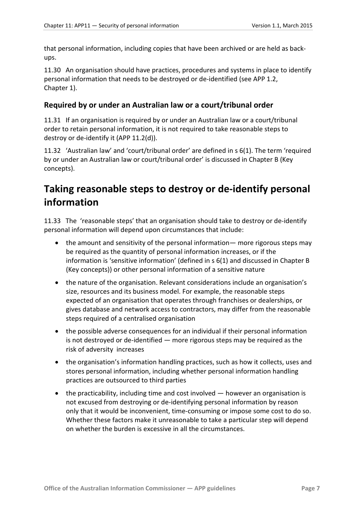that personal information, including copies that have been archived or are held as backups.

11.30 An organisation should have practices, procedures and systems in place to identify personal information that needs to be destroyed or de-identified (see APP 1.2, Chapter 1).

#### <span id="page-6-0"></span>**Required by or under an Australian law or a court/tribunal order**

11.31 If an organisation is required by or under an Australian law or a court/tribunal order to retain personal information, it is not required to take reasonable steps to destroy or de-identify it (APP 11.2(d)).

11.32 'Australian law' and 'court/tribunal order' are defined in s 6(1). The term 'required by or under an Australian law or court/tribunal order' is discussed in Chapter B (Key concepts).

# <span id="page-6-1"></span>**Taking reasonable steps to destroy or de-identify personal information**

11.33 The 'reasonable steps' that an organisation should take to destroy or de-identify personal information will depend upon circumstances that include:

- the amount and sensitivity of the personal information— more rigorous steps may be required as the quantity of personal information increases, or if the information is 'sensitive information' (defined in s 6(1) and discussed in Chapter B (Key concepts)) or other personal information of a sensitive nature
- the nature of the organisation. Relevant considerations include an organisation's size, resources and its business model. For example, the reasonable steps expected of an organisation that operates through franchises or dealerships, or gives database and network access to contractors, may differ from the reasonable steps required of a centralised organisation
- the possible adverse consequences for an individual if their personal information is not destroyed or de-identified — more rigorous steps may be required as the risk of adversity increases
- the organisation's information handling practices, such as how it collects, uses and stores personal information, including whether personal information handling practices are outsourced to third parties
- the practicability, including time and cost involved however an organisation is not excused from destroying or de-identifying personal information by reason only that it would be inconvenient, time-consuming or impose some cost to do so. Whether these factors make it unreasonable to take a particular step will depend on whether the burden is excessive in all the circumstances.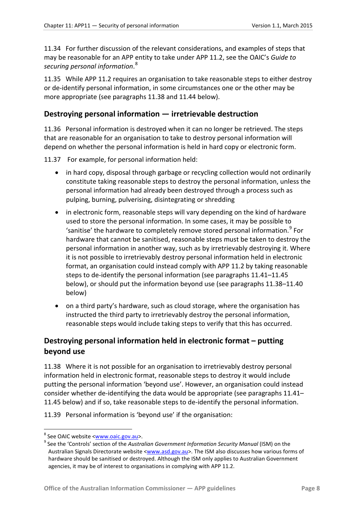11.34 For further discussion of the relevant considerations, and examples of steps that may be reasonable for an APP entity to take under APP 11.2, see the OAIC's *Guide to securing personal information*. [8](#page-7-3)

11.35 While APP 11.2 requires an organisation to take reasonable steps to either destroy or de-identify personal information, in some circumstances one or the other may be more appropriate (see paragraphs [11.38](#page-7-2) and [11.44](#page-8-1) below).

#### <span id="page-7-0"></span>**Destroying personal information — irretrievable destruction**

<span id="page-7-5"></span>11.36 Personal information is destroyed when it can no longer be retrieved. The steps that are reasonable for an organisation to take to destroy personal information will depend on whether the personal information is held in hard copy or electronic form.

11.37 For example, for personal information held:

- in hard copy, disposal through garbage or recycling collection would not ordinarily constitute taking reasonable steps to destroy the personal information, unless the personal information had already been destroyed through a process such as pulping, burning, pulverising, disintegrating or shredding
- in electronic form, reasonable steps will vary depending on the kind of hardware used to store the personal information. In some cases, it may be possible to 'sanitise' the hardware to completely remove stored personal information.<sup>[9](#page-7-4)</sup> For hardware that cannot be sanitised, reasonable steps must be taken to destroy the personal information in another way, such as by irretrievably destroying it. Where it is not possible to irretrievably destroy personal information held in electronic format, an organisation could instead comply with APP 11.2 by taking reasonable steps to de-identify the personal information (see paragraph[s 11.41](#page-8-2)[–11.45](#page-8-3) below), or should put the information beyond use (see paragraph[s 11.38](#page-7-2)[–11.40](#page-8-4) below)
- on a third party's hardware, such as cloud storage, where the organisation has instructed the third party to irretrievably destroy the personal information, reasonable steps would include taking steps to verify that this has occurred.

#### <span id="page-7-1"></span>**Destroying personal information held in electronic format – putting beyond use**

<span id="page-7-2"></span>11.38 Where it is not possible for an organisation to irretrievably destroy personal information held in electronic format, reasonable steps to destroy it would include putting the personal information 'beyond use'. However, an organisation could instead consider whether de-identifying the data would be appropriate (see paragraphs [11.41–](#page-8-2) [11.45](#page-8-3) below) and if so, take reasonable steps to de-identify the personal information.

11.39 Personal information is 'beyond use' if the organisation:

-

<span id="page-7-4"></span><span id="page-7-3"></span><sup>&</sup>lt;sup>8</sup> See OAIC website <<u>www.oaic.gov.au</u>>.<br><sup>9</sup> See the 'Controls' section of the *Australian Government Information Security Manual* (ISM) on the Australian Signals Directorate website [<www.asd.gov.au>](http://www.asd.gov.au/). The ISM also discusses how various forms of hardware should be sanitised or destroyed. Although the ISM only applies to Australian Government agencies, it may be of interest to organisations in complying with APP 11.2.